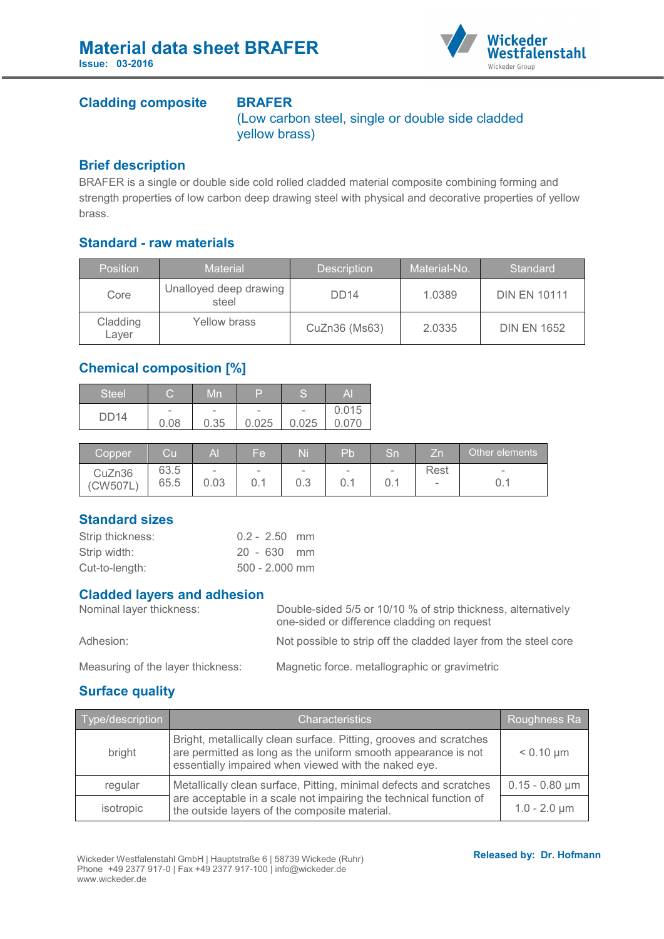

### **Cladding composite BRAFER**

(Low carbon steel, single or double side cladded yellow brass)

### **Brief description**

BRAFER is a single or double side cold rolled cladded material composite combining forming and strength properties of low carbon deep drawing steel with physical and decorative properties of yellow brass.

# **Standard - raw materials**

| <b>Position</b>   | <b>Material</b>                 | <b>Description</b> | Material-No. | <b>Standard</b>     |
|-------------------|---------------------------------|--------------------|--------------|---------------------|
| Core              | Unalloyed deep drawing<br>steel | DD <sub>14</sub>   | 1.0389       | <b>DIN EN 10111</b> |
| Cladding<br>Layer | Yellow brass                    | CuZn36 (Ms63)      | 2.0335       | <b>DIN EN 1652</b>  |

# **Chemical composition [%]**

| Steel       | $\overline{\phantom{0}}$<br>$\overline{\phantom{a}}$ | Mn                               | D                                 | C<br>∍                            | Al    |
|-------------|------------------------------------------------------|----------------------------------|-----------------------------------|-----------------------------------|-------|
| <b>DD14</b> | $\overline{\phantom{a}}$<br>0.08                     | $\overline{\phantom{a}}$<br>0.35 | $\overline{\phantom{m}}$<br>0.025 | $\overline{\phantom{0}}$<br>0.025 | 0.015 |

| Copper             | Cul          | Al             | 'Fel                     | Ni            | Pb            | Sn            | ΙZη            | Other elements  |
|--------------------|--------------|----------------|--------------------------|---------------|---------------|---------------|----------------|-----------------|
| CuZn36<br>(CW507L) | 63.5<br>65.5 | $\sim$<br>0.03 | $\overline{\phantom{0}}$ | $\sim$<br>0.3 | $\sim$<br>0.1 | $\sim$<br>0.1 | Rest<br>$\sim$ | $\qquad \qquad$ |

# **Standard sizes**

| Strip thickness: | $0.2 - 2.50$ mm  |  |
|------------------|------------------|--|
| Strip width:     | $20 - 630$ mm    |  |
| Cut-to-length:   | $500 - 2.000$ mm |  |

#### **Cladded layers and adhesion**

| Nominal layer thickness: | Double-sided 5/5 or 10/10 % of strip thickness, alternatively<br>one-sided or difference cladding on request |  |  |  |
|--------------------------|--------------------------------------------------------------------------------------------------------------|--|--|--|
| Adhesion:                | Not possible to strip off the cladded layer from the steel core                                              |  |  |  |
|                          |                                                                                                              |  |  |  |

Measuring of the layer thickness: Magnetic force. metallographic or gravimetric

# **Surface quality**

| Type/description | <b>Characteristics</b>                                                                                                                                                                      | Roughness Ra        |
|------------------|---------------------------------------------------------------------------------------------------------------------------------------------------------------------------------------------|---------------------|
| bright           | Bright, metallically clean surface. Pitting, grooves and scratches<br>are permitted as long as the uniform smooth appearance is not<br>essentially impaired when viewed with the naked eye. | $< 0.10 \mu m$      |
| regular          | Metallically clean surface, Pitting, minimal defects and scratches                                                                                                                          | $0.15 - 0.80 \mu m$ |
| isotropic        | are acceptable in a scale not impairing the technical function of<br>the outside layers of the composite material.                                                                          | $1.0 - 2.0 \mu m$   |